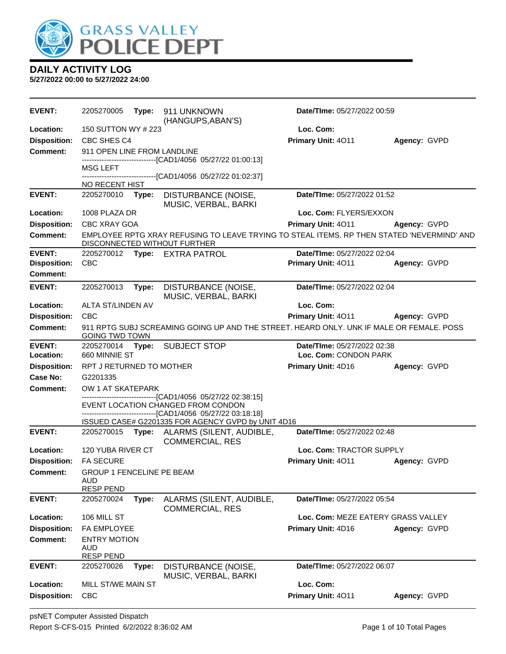

| <b>EVENT:</b>       | 2205270005                             | Type: | 911 UNKNOWN<br>(HANGUPS, ABAN'S)                                                                                           | Date/TIme: 05/27/2022 00:59        |              |
|---------------------|----------------------------------------|-------|----------------------------------------------------------------------------------------------------------------------------|------------------------------------|--------------|
| Location:           | 150 SUTTON WY # 223                    |       |                                                                                                                            | Loc. Com:                          |              |
| <b>Disposition:</b> | CBC SHES C4                            |       |                                                                                                                            | Primary Unit: 4011                 | Agency: GVPD |
| <b>Comment:</b>     | 911 OPEN LINE FROM LANDLINE            |       |                                                                                                                            |                                    |              |
|                     | MSG LEFT                               |       | --------------------------[CAD1/4056 05/27/22 01:00:13]                                                                    |                                    |              |
|                     |                                        |       | ------------[CAD1/4056_05/27/22_01:02:37]                                                                                  |                                    |              |
|                     | NO RECENT HIST                         |       |                                                                                                                            |                                    |              |
| <b>EVENT:</b>       | 2205270010                             | Type: | DISTURBANCE (NOISE,<br>MUSIC, VERBAL, BARKI                                                                                | Date/TIme: 05/27/2022 01:52        |              |
| Location:           | 1008 PLAZA DR                          |       |                                                                                                                            | Loc. Com: FLYERS/EXXON             |              |
| <b>Disposition:</b> | CBC XRAY GOA                           |       |                                                                                                                            | Primary Unit: 4011                 | Agency: GVPD |
| <b>Comment:</b>     |                                        |       | EMPLOYEE RPTG XRAY REFUSING TO LEAVE TRYING TO STEAL ITEMS. RP THEN STATED 'NEVERMIND' AND<br>DISCONNECTED WITHOUT FURTHER |                                    |              |
| <b>EVENT:</b>       |                                        |       | 2205270012 Type: EXTRA PATROL                                                                                              | Date/TIme: 05/27/2022 02:04        |              |
| <b>Disposition:</b> | <b>CBC</b>                             |       |                                                                                                                            | Primary Unit: 4011                 | Agency: GVPD |
| <b>Comment:</b>     |                                        |       |                                                                                                                            |                                    |              |
| <b>EVENT:</b>       | 2205270013                             | Type: | DISTURBANCE (NOISE,<br>MUSIC, VERBAL, BARKI                                                                                | Date/TIme: 05/27/2022 02:04        |              |
| Location:           | ALTA ST/LINDEN AV                      |       |                                                                                                                            | Loc. Com:                          |              |
| <b>Disposition:</b> | <b>CBC</b>                             |       |                                                                                                                            | Primary Unit: 4011                 | Agency: GVPD |
| <b>Comment:</b>     | <b>GOING TWD TOWN</b>                  |       | 911 RPTG SUBJ SCREAMING GOING UP AND THE STREET. HEARD ONLY. UNK IF MALE OR FEMALE. POSS                                   |                                    |              |
| <b>EVENT:</b>       | 2205270014                             | Type: | <b>SUBJECT STOP</b>                                                                                                        | Date/TIme: 05/27/2022 02:38        |              |
| Location:           | 660 MINNIE ST<br>Loc. Com: CONDON PARK |       |                                                                                                                            |                                    |              |
| <b>Disposition:</b> | RPT J RETURNED TO MOTHER               |       |                                                                                                                            | Primary Unit: 4D16                 | Agency: GVPD |
| Case No:            | G2201335                               |       |                                                                                                                            |                                    |              |
| Comment:            | OW 1 AT SKATEPARK                      |       | ------------------------[CAD1/4056_05/27/22_02:38:15]                                                                      |                                    |              |
|                     |                                        |       | EVENT LOCATION CHANGED FROM CONDON                                                                                         |                                    |              |
|                     |                                        |       | -------------------------------[CAD1/4056_05/27/22_03:18:18]                                                               |                                    |              |
| <b>EVENT:</b>       |                                        |       | ISSUED CASE# G2201335 FOR AGENCY GVPD by UNIT 4D16<br>2205270015 Type: ALARMS (SILENT, AUDIBLE,                            | Date/TIme: 05/27/2022 02:48        |              |
|                     |                                        |       | <b>COMMERCIAL, RES</b>                                                                                                     |                                    |              |
| Location:           | 120 YUBA RIVER CT                      |       |                                                                                                                            | Loc. Com: TRACTOR SUPPLY           |              |
| <b>Disposition:</b> | <b>FA SECURE</b>                       |       |                                                                                                                            | Primary Unit: 4011                 | Agency: GVPD |
| <b>Comment:</b>     | GROUP 1 FENCELINE PE BEAM              |       |                                                                                                                            |                                    |              |
|                     | <b>AUD</b><br><b>RESP PEND</b>         |       |                                                                                                                            |                                    |              |
| <b>EVENT:</b>       | 2205270024                             | Type: | ALARMS (SILENT, AUDIBLE,<br><b>COMMERCIAL, RES</b>                                                                         | Date/TIme: 05/27/2022 05:54        |              |
| Location:           | 106 MILL ST                            |       |                                                                                                                            | Loc. Com: MEZE EATERY GRASS VALLEY |              |
| <b>Disposition:</b> | FA EMPLOYEE                            |       |                                                                                                                            | Primary Unit: 4D16                 | Agency: GVPD |
| <b>Comment:</b>     | <b>ENTRY MOTION</b><br><b>AUD</b>      |       |                                                                                                                            |                                    |              |
| <b>EVENT:</b>       | <b>RESP PEND</b><br>2205270026         | Type: |                                                                                                                            | Date/TIme: 05/27/2022 06:07        |              |
|                     |                                        |       | DISTURBANCE (NOISE,<br>MUSIC, VERBAL, BARKI                                                                                |                                    |              |
| Location:           | MILL ST/WE MAIN ST                     |       |                                                                                                                            | Loc. Com:                          |              |
| <b>Disposition:</b> | CBC                                    |       |                                                                                                                            | Primary Unit: 4011                 | Agency: GVPD |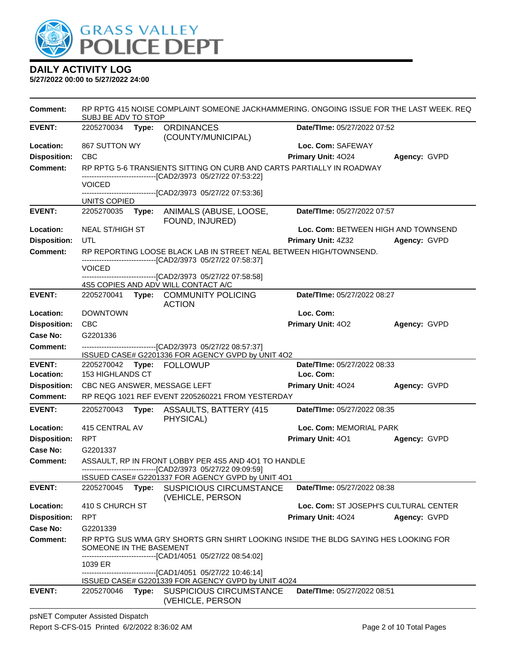

| <b>Comment:</b>            | SUBJ BE ADV TO STOP                   |       | RP RPTG 415 NOISE COMPLAINT SOMEONE JACKHAMMERING. ONGOING ISSUE FOR THE LAST WEEK. REQ                                               |                                          |              |
|----------------------------|---------------------------------------|-------|---------------------------------------------------------------------------------------------------------------------------------------|------------------------------------------|--------------|
| <b>EVENT:</b>              | 2205270034 Type:                      |       | <b>ORDINANCES</b>                                                                                                                     | Date/TIme: 05/27/2022 07:52              |              |
|                            |                                       |       | (COUNTY/MUNICIPAL)                                                                                                                    |                                          |              |
| Location:                  | 867 SUTTON WY                         |       |                                                                                                                                       | Loc. Com: SAFEWAY                        |              |
| <b>Disposition:</b>        | <b>CBC</b>                            |       |                                                                                                                                       | Primary Unit: 4024                       | Agency: GVPD |
| <b>Comment:</b>            |                                       |       | RP RPTG 5-6 TRANSIENTS SITTING ON CURB AND CARTS PARTIALLY IN ROADWAY<br>-------------------------------[CAD2/3973_05/27/22_07:53:22] |                                          |              |
|                            | <b>VOICED</b>                         |       |                                                                                                                                       |                                          |              |
|                            | UNITS COPIED                          |       | ------------------------[CAD2/3973_05/27/22_07:53:36]                                                                                 |                                          |              |
| <b>EVENT:</b>              | 2205270035                            | Type: | ANIMALS (ABUSE, LOOSE,                                                                                                                | Date/TIme: 05/27/2022 07:57              |              |
|                            |                                       |       | FOUND, INJURED)                                                                                                                       |                                          |              |
| Location:                  | <b>NEAL ST/HIGH ST</b>                |       |                                                                                                                                       | Loc. Com: BETWEEN HIGH AND TOWNSEND      |              |
| <b>Disposition:</b>        | UTL                                   |       |                                                                                                                                       | <b>Primary Unit: 4Z32</b>                | Agency: GVPD |
| <b>Comment:</b>            |                                       |       | RP REPORTING LOOSE BLACK LAB IN STREET NEAL BETWEEN HIGH/TOWNSEND.                                                                    |                                          |              |
|                            | <b>VOICED</b>                         |       | -------------------------------[CAD2/3973 05/27/22 07:58:37]                                                                          |                                          |              |
|                            |                                       |       | --------------------------------[CAD2/3973 05/27/22 07:58:58]                                                                         |                                          |              |
|                            |                                       |       | 4S5 COPIES AND ADV WILL CONTACT A/C                                                                                                   |                                          |              |
| <b>EVENT:</b>              |                                       |       | 2205270041 Type: COMMUNITY POLICING                                                                                                   | Date/TIme: 05/27/2022 08:27              |              |
| Location:                  | <b>DOWNTOWN</b>                       |       | <b>ACTION</b>                                                                                                                         | Loc. Com:                                |              |
| <b>Disposition:</b>        | <b>CBC</b>                            |       |                                                                                                                                       | Primary Unit: 402                        | Agency: GVPD |
| <b>Case No:</b>            | G2201336                              |       |                                                                                                                                       |                                          |              |
| Comment:                   |                                       |       | -------------------------------[CAD2/3973 05/27/22 08:57:37]                                                                          |                                          |              |
|                            |                                       |       | ISSUED CASE# G2201336 FOR AGENCY GVPD by UNIT 4O2                                                                                     |                                          |              |
| <b>EVENT:</b><br>Location: | 2205270042<br><b>153 HIGHLANDS CT</b> |       | Type: FOLLOWUP                                                                                                                        | Date/TIme: 05/27/2022 08:33<br>Loc. Com: |              |
| <b>Disposition:</b>        |                                       |       | CBC NEG ANSWER, MESSAGE LEFT                                                                                                          | Primary Unit: 4024                       | Agency: GVPD |
| <b>Comment:</b>            |                                       |       | RP REQG 1021 REF EVENT 2205260221 FROM YESTERDAY                                                                                      |                                          |              |
| <b>EVENT:</b>              | 2205270043                            | Type: | ASSAULTS, BATTERY (415)<br>PHYSICAL)                                                                                                  | Date/TIme: 05/27/2022 08:35              |              |
| Location:                  | 415 CENTRAL AV                        |       |                                                                                                                                       | Loc. Com: MEMORIAL PARK                  |              |
| <b>Disposition:</b>        | <b>RPT</b>                            |       |                                                                                                                                       | <b>Primary Unit: 401</b>                 | Agency: GVPD |
| <b>Case No:</b>            | G2201337                              |       |                                                                                                                                       |                                          |              |
| <b>Comment:</b>            |                                       |       | ASSAULT, RP IN FRONT LOBBY PER 4S5 AND 4O1 TO HANDLE                                                                                  |                                          |              |
|                            |                                       |       | ---------------------------------[CAD2/3973_05/27/22_09:09:59]<br>ISSUED CASE# G2201337 FOR AGENCY GVPD by UNIT 4O1                   |                                          |              |
| <b>EVENT:</b>              | 2205270045                            | Type: | <b>SUSPICIOUS CIRCUMSTANCE</b>                                                                                                        | Date/TIme: 05/27/2022 08:38              |              |
| Location:                  | 410 S CHURCH ST                       |       | (VEHICLE, PERSON                                                                                                                      | Loc. Com: ST JOSEPH'S CULTURAL CENTER    |              |
| <b>Disposition:</b>        | <b>RPT</b>                            |       |                                                                                                                                       | Primary Unit: 4024                       | Agency: GVPD |
| <b>Case No:</b>            | G2201339                              |       |                                                                                                                                       |                                          |              |
| <b>Comment:</b>            |                                       |       | RP RPTG SUS WMA GRY SHORTS GRN SHIRT LOOKING INSIDE THE BLDG SAYING HES LOOKING FOR                                                   |                                          |              |
|                            | SOMEONE IN THE BASEMENT               |       |                                                                                                                                       |                                          |              |
|                            | 1039 ER                               |       | -----------------------[CAD1/4051_05/27/22_08:54:02]                                                                                  |                                          |              |
|                            |                                       |       | -------------------------------[CAD1/4051 05/27/22 10:46:14]                                                                          |                                          |              |
|                            |                                       |       | ISSUED CASE# G2201339 FOR AGENCY GVPD by UNIT 4O24                                                                                    |                                          |              |
| <b>EVENT:</b>              | 2205270046                            |       | Type: SUSPICIOUS CIRCUMSTANCE<br>(VEHICLE, PERSON                                                                                     | <b>Date/Time: 05/27/2022 08:51</b>       |              |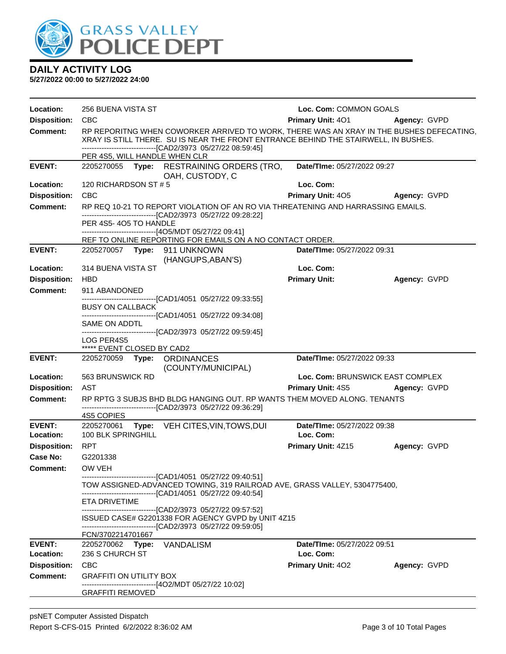

| Location:           | 256 BUENA VISTA ST                                                                                                                                                                                       |  |                                                                                                                                                                                                                                                | Loc. Com: COMMON GOALS             |              |  |
|---------------------|----------------------------------------------------------------------------------------------------------------------------------------------------------------------------------------------------------|--|------------------------------------------------------------------------------------------------------------------------------------------------------------------------------------------------------------------------------------------------|------------------------------------|--------------|--|
| <b>Disposition:</b> | <b>CBC</b>                                                                                                                                                                                               |  |                                                                                                                                                                                                                                                | <b>Primary Unit: 401</b>           | Agency: GVPD |  |
| Comment:            |                                                                                                                                                                                                          |  | RP REPORITNG WHEN COWORKER ARRIVED TO WORK, THERE WAS AN XRAY IN THE BUSHES DEFECATING,<br>XRAY IS STILL THERE. SU IS NEAR THE FRONT ENTRANCE BEHIND THE STAIRWELL, IN BUSHES.<br>-------------------------------[CAD2/3973 05/27/22 08:59:45] |                                    |              |  |
|                     | PER 4S5, WILL HANDLE WHEN CLR                                                                                                                                                                            |  |                                                                                                                                                                                                                                                |                                    |              |  |
| <b>EVENT:</b>       |                                                                                                                                                                                                          |  | 2205270055 Type: RESTRAINING ORDERS (TRO,<br>OAH, CUSTODY, C                                                                                                                                                                                   | Date/TIme: 05/27/2022 09:27        |              |  |
| Location:           | 120 RICHARDSON ST #5                                                                                                                                                                                     |  |                                                                                                                                                                                                                                                | Loc. Com:                          |              |  |
| <b>Disposition:</b> | CBC                                                                                                                                                                                                      |  |                                                                                                                                                                                                                                                | <b>Primary Unit: 405</b>           | Agency: GVPD |  |
| <b>Comment:</b>     |                                                                                                                                                                                                          |  | RP REQ 10-21 TO REPORT VIOLATION OF AN RO VIA THREATENING AND HARRASSING EMAILS.<br>-------------------------------[CAD2/3973 05/27/22 09:28:22]                                                                                               |                                    |              |  |
|                     | PER 4S5-4O5 TO HANDLE                                                                                                                                                                                    |  |                                                                                                                                                                                                                                                |                                    |              |  |
|                     |                                                                                                                                                                                                          |  | ------------------------------[4O5/MDT 05/27/22 09:41]<br>REF TO ONLINE REPORTING FOR EMAILS ON A NO CONTACT ORDER.                                                                                                                            |                                    |              |  |
| <b>EVENT:</b>       |                                                                                                                                                                                                          |  | 2205270057    Type: 911    UNKNOWN<br>(HANGUPS, ABAN'S)                                                                                                                                                                                        | <b>Date/Time: 05/27/2022 09:31</b> |              |  |
| Location:           | 314 BUENA VISTA ST                                                                                                                                                                                       |  |                                                                                                                                                                                                                                                | Loc. Com:                          |              |  |
| <b>Disposition:</b> | <b>HBD</b>                                                                                                                                                                                               |  |                                                                                                                                                                                                                                                | <b>Primary Unit:</b>               | Agency: GVPD |  |
| <b>Comment:</b>     | 911 ABANDONED                                                                                                                                                                                            |  |                                                                                                                                                                                                                                                |                                    |              |  |
|                     |                                                                                                                                                                                                          |  | -------------------------------[CAD1/4051 05/27/22 09:33:55]                                                                                                                                                                                   |                                    |              |  |
|                     | <b>BUSY ON CALLBACK</b>                                                                                                                                                                                  |  |                                                                                                                                                                                                                                                |                                    |              |  |
|                     | SAME ON ADDTL                                                                                                                                                                                            |  | -------------------------------[CAD1/4051 05/27/22 09:34:08]                                                                                                                                                                                   |                                    |              |  |
|                     |                                                                                                                                                                                                          |  | -------------------------------[CAD2/3973_05/27/22 09:59:45]                                                                                                                                                                                   |                                    |              |  |
|                     | LOG PER4S5<br>***** EVENT CLOSED BY CAD2                                                                                                                                                                 |  |                                                                                                                                                                                                                                                |                                    |              |  |
| <b>EVENT:</b>       |                                                                                                                                                                                                          |  | 2205270059 Type: ORDINANCES<br>(COUNTY/MUNICIPAL)                                                                                                                                                                                              | Date/TIme: 05/27/2022 09:33        |              |  |
| Location:           | 563 BRUNSWICK RD                                                                                                                                                                                         |  |                                                                                                                                                                                                                                                | Loc. Com: BRUNSWICK EAST COMPLEX   |              |  |
| <b>Disposition:</b> | AST                                                                                                                                                                                                      |  |                                                                                                                                                                                                                                                | Primary Unit: 4S5 Agency: GVPD     |              |  |
| <b>Comment:</b>     |                                                                                                                                                                                                          |  | RP RPTG 3 SUBJS BHD BLDG HANGING OUT. RP WANTS THEM MOVED ALONG. TENANTS                                                                                                                                                                       |                                    |              |  |
|                     | 4S5 COPIES                                                                                                                                                                                               |  | -------------------------------[CAD2/3973_05/27/22_09:36:29]                                                                                                                                                                                   |                                    |              |  |
| <b>EVENT:</b>       |                                                                                                                                                                                                          |  | 2205270061 Type: VEH CITES, VIN, TOWS, DUI                                                                                                                                                                                                     | Date/TIme: 05/27/2022 09:38        |              |  |
| Location:           | 100 BLK SPRINGHILL                                                                                                                                                                                       |  |                                                                                                                                                                                                                                                | Loc. Com:                          |              |  |
| <b>Disposition:</b> | <b>RPT</b>                                                                                                                                                                                               |  |                                                                                                                                                                                                                                                | <b>Primary Unit: 4Z15</b>          | Agency: GVPD |  |
| Case No:            | G2201338                                                                                                                                                                                                 |  |                                                                                                                                                                                                                                                |                                    |              |  |
| Comment:            | OW VEH                                                                                                                                                                                                   |  |                                                                                                                                                                                                                                                |                                    |              |  |
|                     | -------------------------------[CAD1/4051 05/27/22 09:40:51]<br>TOW ASSIGNED-ADVANCED TOWING, 319 RAILROAD AVE, GRASS VALLEY, 5304775400,<br>------------------------------[CAD1/4051 05/27/22 09:40:54] |  |                                                                                                                                                                                                                                                |                                    |              |  |
|                     | ETA DRIVETIME                                                                                                                                                                                            |  |                                                                                                                                                                                                                                                |                                    |              |  |
|                     |                                                                                                                                                                                                          |  | -------------------------------[CAD2/3973 05/27/22 09:57:52]                                                                                                                                                                                   |                                    |              |  |
|                     |                                                                                                                                                                                                          |  | ISSUED CASE# G2201338 FOR AGENCY GVPD by UNIT 4Z15<br>-------------------------------[CAD2/3973_05/27/22_09:59:05]                                                                                                                             |                                    |              |  |
|                     | FCN/3702214701667                                                                                                                                                                                        |  |                                                                                                                                                                                                                                                |                                    |              |  |
| <b>EVENT:</b>       | 2205270062 Type: VANDALISM                                                                                                                                                                               |  |                                                                                                                                                                                                                                                | <b>Date/Time: 05/27/2022 09:51</b> |              |  |
| Location:           | 236 S CHURCH ST                                                                                                                                                                                          |  |                                                                                                                                                                                                                                                | Loc. Com:                          |              |  |
| <b>Disposition:</b> | <b>CBC</b>                                                                                                                                                                                               |  |                                                                                                                                                                                                                                                | <b>Primary Unit: 402</b>           | Agency: GVPD |  |
| <b>Comment:</b>     | <b>GRAFFITI ON UTILITY BOX</b>                                                                                                                                                                           |  | ------------------------[4O2/MDT 05/27/22 10:02]                                                                                                                                                                                               |                                    |              |  |
|                     | <b>GRAFFITI REMOVED</b>                                                                                                                                                                                  |  |                                                                                                                                                                                                                                                |                                    |              |  |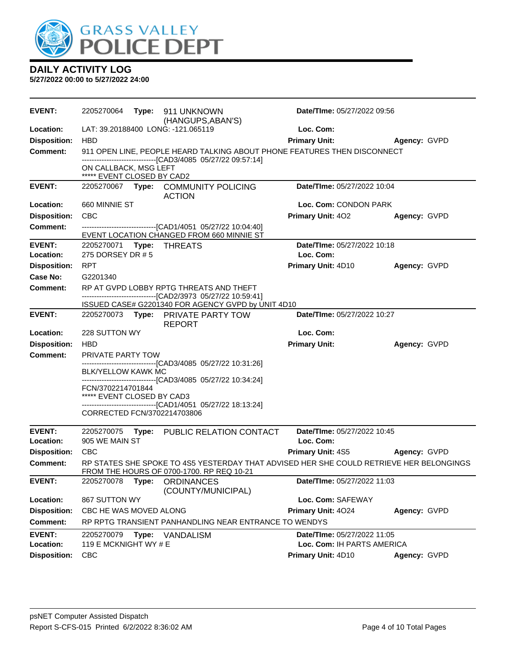

| <b>EVENT:</b>       | 2205270064                                      |       | Type: 911 UNKNOWN                                                                                                                    | Date/TIme: 05/27/2022 09:56 |              |
|---------------------|-------------------------------------------------|-------|--------------------------------------------------------------------------------------------------------------------------------------|-----------------------------|--------------|
| <b>Location:</b>    |                                                 |       | (HANGUPS, ABAN'S)<br>LAT: 39.20188400 LONG: -121.065119                                                                              | Loc. Com:                   |              |
| <b>Disposition:</b> | <b>HBD</b>                                      |       |                                                                                                                                      | <b>Primary Unit:</b>        | Agency: GVPD |
| <b>Comment:</b>     |                                                 |       | 911 OPEN LINE, PEOPLE HEARD TALKING ABOUT PHONE FEATURES THEN DISCONNECT                                                             |                             |              |
|                     | ON CALLBACK, MSG LEFT                           |       | -------------------------------[CAD3/4085 05/27/22 09:57:14]                                                                         |                             |              |
| <b>EVENT:</b>       | ***** EVENT CLOSED BY CAD2                      |       | 2205270067 Type: COMMUNITY POLICING                                                                                                  | Date/TIme: 05/27/2022 10:04 |              |
|                     |                                                 |       | <b>ACTION</b>                                                                                                                        |                             |              |
| Location:           | 660 MINNIE ST                                   |       |                                                                                                                                      | Loc. Com: CONDON PARK       |              |
| <b>Disposition:</b> | <b>CBC</b>                                      |       |                                                                                                                                      | Primary Unit: 402           | Agency: GVPD |
| <b>Comment:</b>     |                                                 |       | -------------------------------[CAD1/4051 05/27/22 10:04:40]<br>EVENT LOCATION CHANGED FROM 660 MINNIE ST                            |                             |              |
| <b>EVENT:</b>       | 2205270071 Type: THREATS                        |       |                                                                                                                                      | Date/TIme: 05/27/2022 10:18 |              |
| Location:           | 275 DORSEY DR # 5                               |       |                                                                                                                                      | Loc. Com:                   |              |
| <b>Disposition:</b> | <b>RPT</b>                                      |       |                                                                                                                                      | Primary Unit: 4D10          | Agency: GVPD |
| Case No:            | G2201340                                        |       |                                                                                                                                      |                             |              |
| <b>Comment:</b>     |                                                 |       | RP AT GVPD LOBBY RPTG THREATS AND THEFT<br>--------------------------------[CAD2/3973 05/27/22 10:59:41]                             |                             |              |
|                     |                                                 |       | ISSUED CASE# G2201340 FOR AGENCY GVPD by UNIT 4D10                                                                                   |                             |              |
| <b>EVENT:</b>       |                                                 |       | 2205270073 Type: PRIVATE PARTY TOW<br><b>REPORT</b>                                                                                  | Date/TIme: 05/27/2022 10:27 |              |
| Location:           | 228 SUTTON WY                                   |       |                                                                                                                                      | Loc. Com:                   |              |
| <b>Disposition:</b> | <b>HBD</b>                                      |       |                                                                                                                                      | <b>Primary Unit:</b>        | Agency: GVPD |
| <b>Comment:</b>     | <b>PRIVATE PARTY TOW</b>                        |       |                                                                                                                                      |                             |              |
|                     | BLK/YELLOW KAWK MC                              |       | -------------------------------[CAD3/4085_05/27/22 10:31:26]                                                                         |                             |              |
|                     |                                                 |       | ------------------------------[CAD3/4085 05/27/22 10:34:24]                                                                          |                             |              |
|                     | FCN/3702214701844<br>***** EVENT CLOSED BY CAD3 |       |                                                                                                                                      |                             |              |
|                     |                                                 |       | -------------------------------[CAD1/4051 05/27/22 18:13:24]                                                                         |                             |              |
|                     | CORRECTED FCN/3702214703806                     |       |                                                                                                                                      |                             |              |
| <b>EVENT:</b>       | 2205270075                                      |       | Type: PUBLIC RELATION CONTACT                                                                                                        | Date/TIme: 05/27/2022 10:45 |              |
| Location:           | 905 WE MAIN ST                                  |       |                                                                                                                                      | Loc. Com:                   |              |
| <b>Disposition:</b> | CBC                                             |       |                                                                                                                                      | <b>Primary Unit: 4S5</b>    | Agency: GVPD |
| Comment:            |                                                 |       | RP STATES SHE SPOKE TO 4S5 YESTERDAY THAT ADVISED HER SHE COULD RETRIEVE HER BELONGINGS<br>FROM THE HOURS OF 0700-1700. RP REQ 10-21 |                             |              |
| <b>EVENT:</b>       | 2205270078                                      | Type: | <b>ORDINANCES</b><br>(COUNTY/MUNICIPAL)                                                                                              | Date/TIme: 05/27/2022 11:03 |              |
| Location:           | 867 SUTTON WY                                   |       |                                                                                                                                      | Loc. Com: SAFEWAY           |              |
| <b>Disposition:</b> | CBC HE WAS MOVED ALONG                          |       |                                                                                                                                      | Primary Unit: 4024          | Agency: GVPD |
| <b>Comment:</b>     |                                                 |       | RP RPTG TRANSIENT PANHANDLING NEAR ENTRANCE TO WENDYS                                                                                |                             |              |
| <b>EVENT:</b>       | 2205270079                                      | Type: | <b>VANDALISM</b>                                                                                                                     | Date/TIme: 05/27/2022 11:05 |              |
| Location:           | 119 E MCKNIGHT WY # E                           |       |                                                                                                                                      | Loc. Com: IH PARTS AMERICA  |              |
| <b>Disposition:</b> | <b>CBC</b>                                      |       |                                                                                                                                      | Primary Unit: 4D10          | Agency: GVPD |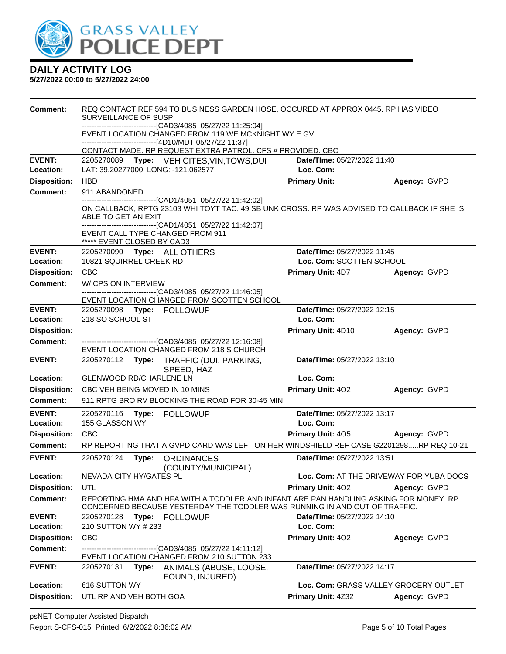

| Comment:                   | REQ CONTACT REF 594 TO BUSINESS GARDEN HOSE, OCCURED AT APPROX 0445. RP HAS VIDEO<br>SURVEILLANCE OF SUSP.<br>------------------------------[CAD3/4085 05/27/22 11:25:04]<br>EVENT LOCATION CHANGED FROM 119 WE MCKNIGHT WY E GV<br>------------------------------[4D10/MDT 05/27/22 11:37] |       |                                                                                                             |                                          |                                         |  |
|----------------------------|---------------------------------------------------------------------------------------------------------------------------------------------------------------------------------------------------------------------------------------------------------------------------------------------|-------|-------------------------------------------------------------------------------------------------------------|------------------------------------------|-----------------------------------------|--|
|                            |                                                                                                                                                                                                                                                                                             |       | CONTACT MADE. RP REQUEST EXTRA PATROL. CFS # PROVIDED. CBC                                                  |                                          |                                         |  |
| <b>EVENT:</b><br>Location: |                                                                                                                                                                                                                                                                                             |       | 2205270089 Type: VEH CITES, VIN, TOWS, DUI<br>LAT: 39.20277000 LONG: -121.062577                            | Date/TIme: 05/27/2022 11:40<br>Loc. Com: |                                         |  |
| <b>Disposition:</b>        | <b>HBD</b>                                                                                                                                                                                                                                                                                  |       |                                                                                                             | <b>Primary Unit:</b>                     | Agency: GVPD                            |  |
| <b>Comment:</b>            | 911 ABANDONED                                                                                                                                                                                                                                                                               |       |                                                                                                             |                                          |                                         |  |
|                            | --------------------------------[CAD1/4051 05/27/22 11:42:02]<br>ON CALLBACK, RPTG 23103 WHI TOYT TAC. 49 SB UNK CROSS. RP WAS ADVISED TO CALLBACK IF SHE IS<br>ABLE TO GET AN EXIT<br>-------------------------------[CAD1/4051 05/27/22 11:42:07]                                         |       |                                                                                                             |                                          |                                         |  |
|                            | ***** EVENT CLOSED BY CAD3                                                                                                                                                                                                                                                                  |       | EVENT CALL TYPE CHANGED FROM 911                                                                            |                                          |                                         |  |
| <b>EVENT:</b>              |                                                                                                                                                                                                                                                                                             |       | 2205270090 Type: ALL OTHERS                                                                                 | Date/TIme: 05/27/2022 11:45              |                                         |  |
| Location:                  | 10821 SQUIRREL CREEK RD                                                                                                                                                                                                                                                                     |       |                                                                                                             | Loc. Com: SCOTTEN SCHOOL                 |                                         |  |
| <b>Disposition:</b>        | <b>CBC</b>                                                                                                                                                                                                                                                                                  |       |                                                                                                             | <b>Primary Unit: 4D7</b>                 | Agency: GVPD                            |  |
| <b>Comment:</b>            | W/CPS ON INTERVIEW                                                                                                                                                                                                                                                                          |       |                                                                                                             |                                          |                                         |  |
|                            | ------------------------------[CAD3/4085 05/27/22 11:46:05]<br>EVENT LOCATION CHANGED FROM SCOTTEN SCHOOL                                                                                                                                                                                   |       |                                                                                                             |                                          |                                         |  |
| <b>EVENT:</b>              |                                                                                                                                                                                                                                                                                             |       | 2205270098 Type: FOLLOWUP                                                                                   | Date/TIme: 05/27/2022 12:15              |                                         |  |
| Location:                  | 218 SO SCHOOL ST                                                                                                                                                                                                                                                                            |       |                                                                                                             | Loc. Com:                                |                                         |  |
| <b>Disposition:</b>        |                                                                                                                                                                                                                                                                                             |       |                                                                                                             | Primary Unit: 4D10                       | Agency: GVPD                            |  |
| <b>Comment:</b>            |                                                                                                                                                                                                                                                                                             |       | --------------------------------[CAD3/4085 05/27/22 12:16:08]                                               |                                          |                                         |  |
|                            |                                                                                                                                                                                                                                                                                             |       | EVENT LOCATION CHANGED FROM 218 S CHURCH                                                                    |                                          |                                         |  |
| <b>EVENT:</b>              |                                                                                                                                                                                                                                                                                             |       | 2205270112 Type: TRAFFIC (DUI, PARKING,<br>SPEED, HAZ                                                       | Date/TIme: 05/27/2022 13:10              |                                         |  |
| Location:                  | GLENWOOD RD/CHARLENE LN                                                                                                                                                                                                                                                                     |       |                                                                                                             | Loc. Com:                                |                                         |  |
| <b>Disposition:</b>        |                                                                                                                                                                                                                                                                                             |       | CBC VEH BEING MOVED IN 10 MINS                                                                              | <b>Primary Unit: 402</b>                 | Agency: GVPD                            |  |
| <b>Comment:</b>            |                                                                                                                                                                                                                                                                                             |       | 911 RPTG BRO RV BLOCKING THE ROAD FOR 30-45 MIN                                                             |                                          |                                         |  |
| <b>EVENT:</b><br>Location: | 2205270116<br>155 GLASSON WY                                                                                                                                                                                                                                                                | Type: | <b>FOLLOWUP</b>                                                                                             | Date/TIme: 05/27/2022 13:17<br>Loc. Com: |                                         |  |
| <b>Disposition:</b>        | <b>CBC</b>                                                                                                                                                                                                                                                                                  |       |                                                                                                             | <b>Primary Unit: 405</b>                 | Agency: GVPD                            |  |
| Comment:                   |                                                                                                                                                                                                                                                                                             |       | RP REPORTING THAT A GVPD CARD WAS LEFT ON HER WINDSHIELD REF CASE G2201298RP REQ 10-21                      |                                          |                                         |  |
| <b>EVENT:</b>              | 2205270124                                                                                                                                                                                                                                                                                  | Type: | <b>ORDINANCES</b><br>(COUNTY/MUNICIPAL)                                                                     | Date/TIme: 05/27/2022 13:51              |                                         |  |
| Location:                  | NEVADA CITY HY/GATES PL                                                                                                                                                                                                                                                                     |       |                                                                                                             |                                          | Loc. Com: AT THE DRIVEWAY FOR YUBA DOCS |  |
| <b>Disposition:</b>        | UTL                                                                                                                                                                                                                                                                                         |       |                                                                                                             | Primary Unit: 402                        | Agency: GVPD                            |  |
| <b>Comment:</b>            | REPORTING HMA AND HFA WITH A TODDLER AND INFANT ARE PAN HANDLING ASKING FOR MONEY. RP<br>CONCERNED BECAUSE YESTERDAY THE TODDLER WAS RUNNING IN AND OUT OF TRAFFIC.                                                                                                                         |       |                                                                                                             |                                          |                                         |  |
| <b>EVENT:</b>              |                                                                                                                                                                                                                                                                                             |       | 2205270128 Type: FOLLOWUP                                                                                   | Date/TIme: 05/27/2022 14:10              |                                         |  |
| Location:                  | 210 SUTTON WY # 233                                                                                                                                                                                                                                                                         |       |                                                                                                             | Loc. Com:                                |                                         |  |
| <b>Disposition:</b>        | CBC                                                                                                                                                                                                                                                                                         |       |                                                                                                             | Primary Unit: 402                        | Agency: GVPD                            |  |
| <b>Comment:</b>            |                                                                                                                                                                                                                                                                                             |       | --------------------------------[CAD3/4085 05/27/22 14:11:12]<br>EVENT LOCATION CHANGED FROM 210 SUTTON 233 |                                          |                                         |  |
| <b>EVENT:</b>              | 2205270131                                                                                                                                                                                                                                                                                  | Type: | ANIMALS (ABUSE, LOOSE,<br>FOUND, INJURED)                                                                   | Date/TIme: 05/27/2022 14:17              |                                         |  |
| Location:                  | 616 SUTTON WY                                                                                                                                                                                                                                                                               |       |                                                                                                             |                                          | Loc. Com: GRASS VALLEY GROCERY OUTLET   |  |
| <b>Disposition:</b>        | UTL RP AND VEH BOTH GOA                                                                                                                                                                                                                                                                     |       |                                                                                                             | Primary Unit: 4Z32                       | Agency: GVPD                            |  |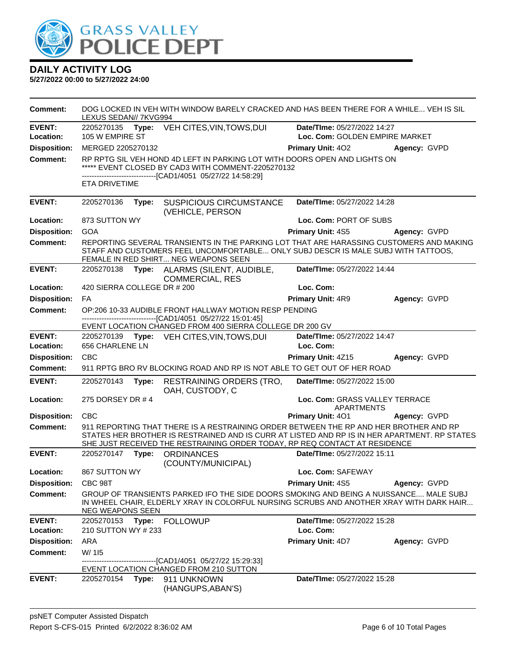

| Comment:                   | LEXUS SEDAN// 7KVG994       |       | DOG LOCKED IN VEH WITH WINDOW BARELY CRACKED AND HAS BEEN THERE FOR A WHILE VEH IS SIL                                                                                                                                                                              |                                                               |              |
|----------------------------|-----------------------------|-------|---------------------------------------------------------------------------------------------------------------------------------------------------------------------------------------------------------------------------------------------------------------------|---------------------------------------------------------------|--------------|
| <b>EVENT:</b><br>Location: | 105 W EMPIRE ST             |       | 2205270135 Type: VEH CITES, VIN, TOWS, DUI                                                                                                                                                                                                                          | Date/TIme: 05/27/2022 14:27<br>Loc. Com: GOLDEN EMPIRE MARKET |              |
| <b>Disposition:</b>        | MERGED 2205270132           |       |                                                                                                                                                                                                                                                                     | <b>Primary Unit: 402</b>                                      | Agency: GVPD |
| <b>Comment:</b>            | <b>ETA DRIVETIME</b>        |       | RP RPTG SIL VEH HOND 4D LEFT IN PARKING LOT WITH DOORS OPEN AND LIGHTS ON<br>***** EVENT CLOSED BY CAD3 WITH COMMENT-2205270132<br>-------------------------------[CAD1/4051 05/27/22 14:58:29]                                                                     |                                                               |              |
| <b>EVENT:</b>              | 2205270136                  | Type: | <b>SUSPICIOUS CIRCUMSTANCE</b>                                                                                                                                                                                                                                      | Date/TIme: 05/27/2022 14:28                                   |              |
|                            |                             |       | (VEHICLE, PERSON                                                                                                                                                                                                                                                    |                                                               |              |
| Location:                  | 873 SUTTON WY               |       |                                                                                                                                                                                                                                                                     | Loc. Com: PORT OF SUBS                                        |              |
| <b>Disposition:</b>        | <b>GOA</b>                  |       |                                                                                                                                                                                                                                                                     | <b>Primary Unit: 4S5</b>                                      | Agency: GVPD |
| <b>Comment:</b>            |                             |       | REPORTING SEVERAL TRANSIENTS IN THE PARKING LOT THAT ARE HARASSING CUSTOMERS AND MAKING<br>STAFF AND CUSTOMERS FEEL UNCOMFORTABLE ONLY SUBJ DESCR IS MALE SUBJ WITH TATTOOS,<br>FEMALE IN RED SHIRT NEG WEAPONS SEEN                                                |                                                               |              |
| <b>EVENT:</b>              |                             |       | 2205270138 Type: ALARMS (SILENT, AUDIBLE,<br><b>COMMERCIAL, RES</b>                                                                                                                                                                                                 | Date/TIme: 05/27/2022 14:44                                   |              |
| Location:                  | 420 SIERRA COLLEGE DR # 200 |       |                                                                                                                                                                                                                                                                     | Loc. Com:                                                     |              |
| <b>Disposition:</b>        | FA.                         |       |                                                                                                                                                                                                                                                                     | Primary Unit: 4R9                                             | Agency: GVPD |
| <b>Comment:</b>            |                             |       | OP:206 10-33 AUDIBLE FRONT HALLWAY MOTION RESP PENDING<br>-------------------------------[CAD1/4051 05/27/22 15:01:45]                                                                                                                                              |                                                               |              |
|                            |                             |       | EVENT LOCATION CHANGED FROM 400 SIERRA COLLEGE DR 200 GV                                                                                                                                                                                                            |                                                               |              |
| <b>EVENT:</b>              |                             |       | 2205270139 Type: VEH CITES, VIN, TOWS, DUI                                                                                                                                                                                                                          | Date/TIme: 05/27/2022 14:47                                   |              |
| Location:                  | 656 CHARLENE LN             |       |                                                                                                                                                                                                                                                                     | Loc. Com:                                                     |              |
| <b>Disposition:</b>        | <b>CBC</b>                  |       |                                                                                                                                                                                                                                                                     | Primary Unit: 4Z15                                            | Agency: GVPD |
| <b>Comment:</b>            |                             |       | 911 RPTG BRO RV BLOCKING ROAD AND RP IS NOT ABLE TO GET OUT OF HER ROAD                                                                                                                                                                                             |                                                               |              |
| <b>EVENT:</b>              | 2205270143                  | Type: | <b>RESTRAINING ORDERS (TRO,</b><br>OAH, CUSTODY, C                                                                                                                                                                                                                  | Date/TIme: 05/27/2022 15:00                                   |              |
| Location:                  | 275 DORSEY DR #4            |       |                                                                                                                                                                                                                                                                     | Loc. Com: GRASS VALLEY TERRACE<br><b>APARTMENTS</b>           |              |
| <b>Disposition:</b>        | CBC                         |       |                                                                                                                                                                                                                                                                     | <b>Primary Unit: 401</b>                                      | Agency: GVPD |
| <b>Comment:</b>            |                             |       | 911 REPORTING THAT THERE IS A RESTRAINING ORDER BETWEEN THE RP AND HER BROTHER AND RP<br>STATES HER BROTHER IS RESTRAINED AND IS CURR AT LISTED AND RP IS IN HER APARTMENT. RP STATES<br>SHE JUST RECEIVED THE RESTRAINING ORDER TODAY, RP REQ CONTACT AT RESIDENCE |                                                               |              |
| <b>EVENT:</b>              | 2205270147 Type:            |       | <b>ORDINANCES</b><br>(COUNTY/MUNICIPAL)                                                                                                                                                                                                                             | Date/TIme: 05/27/2022 15:11                                   |              |
| Location:                  | 867 SUTTON WY               |       |                                                                                                                                                                                                                                                                     | Loc. Com: SAFEWAY                                             |              |
| <b>Disposition:</b>        | CBC 98T                     |       |                                                                                                                                                                                                                                                                     | <b>Primary Unit: 4S5</b>                                      | Agency: GVPD |
| <b>Comment:</b>            | <b>NEG WEAPONS SEEN</b>     |       | GROUP OF TRANSIENTS PARKED IFO THE SIDE DOORS SMOKING AND BEING A NUISSANCE MALE SUBJ<br>IN WHEEL CHAIR, ELDERLY XRAY IN COLORFUL NURSING SCRUBS AND ANOTHER XRAY WITH DARK HAIR                                                                                    |                                                               |              |
| <b>EVENT:</b>              | 2205270153                  |       | Type: FOLLOWUP                                                                                                                                                                                                                                                      | Date/TIme: 05/27/2022 15:28                                   |              |
| Location:                  | 210 SUTTON WY # 233         |       |                                                                                                                                                                                                                                                                     | Loc. Com:                                                     |              |
| <b>Disposition:</b>        | ARA                         |       |                                                                                                                                                                                                                                                                     | Primary Unit: 4D7                                             | Agency: GVPD |
| <b>Comment:</b>            | W/ 115                      |       | -------------------[CAD1/4051_05/27/22 15:29:33]                                                                                                                                                                                                                    |                                                               |              |
|                            |                             |       | EVENT LOCATION CHANGED FROM 210 SUTTON                                                                                                                                                                                                                              |                                                               |              |
| <b>EVENT:</b>              | 2205270154                  |       | Type: 911 UNKNOWN<br>(HANGUPS, ABAN'S)                                                                                                                                                                                                                              | Date/TIme: 05/27/2022 15:28                                   |              |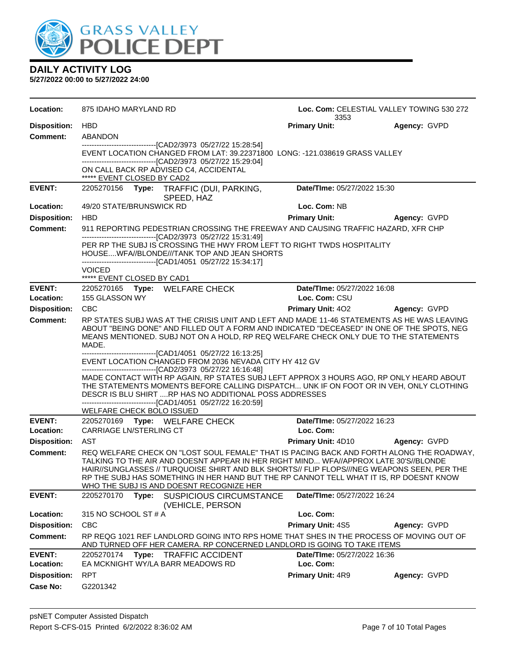

| Location:                  | 875 IDAHO MARYLAND RD                                                                                                                                                                                                                                                                                                                                                                                                                                                                                                              | Loc. Com: CELESTIAL VALLEY TOWING 530 272<br>3353 |                     |  |
|----------------------------|------------------------------------------------------------------------------------------------------------------------------------------------------------------------------------------------------------------------------------------------------------------------------------------------------------------------------------------------------------------------------------------------------------------------------------------------------------------------------------------------------------------------------------|---------------------------------------------------|---------------------|--|
| <b>Disposition:</b>        | <b>HBD</b>                                                                                                                                                                                                                                                                                                                                                                                                                                                                                                                         | <b>Primary Unit:</b>                              | Agency: GVPD        |  |
| <b>Comment:</b>            | <b>ABANDON</b>                                                                                                                                                                                                                                                                                                                                                                                                                                                                                                                     |                                                   |                     |  |
|                            | -------------------------------[CAD2/3973 05/27/22 15:28:54]<br>EVENT LOCATION CHANGED FROM LAT: 39.22371800 LONG: -121.038619 GRASS VALLEY<br>-------------------------------[CAD2/3973 05/27/22 15:29:04]<br>ON CALL BACK RP ADVISED C4, ACCIDENTAL<br>***** EVENT CLOSED BY CAD2                                                                                                                                                                                                                                                |                                                   |                     |  |
| <b>EVENT:</b>              | 2205270156 Type: TRAFFIC (DUI, PARKING,<br>SPEED, HAZ                                                                                                                                                                                                                                                                                                                                                                                                                                                                              | Date/TIme: 05/27/2022 15:30                       |                     |  |
| Location:                  | 49/20 STATE/BRUNSWICK RD                                                                                                                                                                                                                                                                                                                                                                                                                                                                                                           | Loc. Com: NB                                      |                     |  |
| <b>Disposition:</b>        | <b>HBD</b>                                                                                                                                                                                                                                                                                                                                                                                                                                                                                                                         | <b>Primary Unit:</b>                              | <b>Agency: GVPD</b> |  |
| <b>Comment:</b>            | 911 REPORTING PEDESTRIAN CROSSING THE FREEWAY AND CAUSING TRAFFIC HAZARD, XFR CHP                                                                                                                                                                                                                                                                                                                                                                                                                                                  |                                                   |                     |  |
|                            | -------------------------------[CAD2/3973 05/27/22 15:31:49]<br>PER RP THE SUBJ IS CROSSING THE HWY FROM LEFT TO RIGHT TWDS HOSPITALITY<br>HOUSEWFA//BLONDE///TANK TOP AND JEAN SHORTS<br>-------------------------------[CAD1/4051 05/27/22 15:34:17]<br><b>VOICED</b><br>***** EVENT CLOSED BY CAD1                                                                                                                                                                                                                              |                                                   |                     |  |
| <b>EVENT:</b>              | 2205270165 Type: WELFARE CHECK                                                                                                                                                                                                                                                                                                                                                                                                                                                                                                     | Date/TIme: 05/27/2022 16:08                       |                     |  |
| Location:                  | 155 GLASSON WY                                                                                                                                                                                                                                                                                                                                                                                                                                                                                                                     | Loc. Com: CSU                                     |                     |  |
| <b>Disposition:</b>        | <b>CBC</b>                                                                                                                                                                                                                                                                                                                                                                                                                                                                                                                         | <b>Primary Unit: 402</b>                          | Agency: GVPD        |  |
| <b>Comment:</b>            | RP STATES SUBJ WAS AT THE CRISIS UNIT AND LEFT AND MADE 11-46 STATEMENTS AS HE WAS LEAVING<br>ABOUT "BEING DONE" AND FILLED OUT A FORM AND INDICATED "DECEASED" IN ONE OF THE SPOTS, NEG<br>MEANS MENTIONED. SUBJ NOT ON A HOLD, RP REQ WELFARE CHECK ONLY DUE TO THE STATEMENTS<br>MADE.                                                                                                                                                                                                                                          |                                                   |                     |  |
|                            | ------------------------------[CAD1/4051 05/27/22 16:13:25]<br>EVENT LOCATION CHANGED FROM 2036 NEVADA CITY HY 412 GV<br>--------------------------------[CAD2/3973 05/27/22 16:16:48]<br>MADE CONTACT WITH RP AGAIN, RP STATES SUBJ LEFT APPROX 3 HOURS AGO, RP ONLY HEARD ABOUT<br>THE STATEMENTS MOMENTS BEFORE CALLING DISPATCH UNK IF ON FOOT OR IN VEH, ONLY CLOTHING<br>DESCR IS BLU SHIRT RP HAS NO ADDITIONAL POSS ADDRESSES<br>-------------------------------[CAD1/4051 05/27/22 16:20:59]<br>WELFARE CHECK BOLO ISSUED |                                                   |                     |  |
| <b>EVENT:</b><br>Location: | 2205270169 Type: WELFARE CHECK<br>CARRIAGE LN/STERLING CT                                                                                                                                                                                                                                                                                                                                                                                                                                                                          | Date/TIme: 05/27/2022 16:23<br>Loc. Com:          |                     |  |
| <b>Disposition:</b>        | AST                                                                                                                                                                                                                                                                                                                                                                                                                                                                                                                                | <b>Primary Unit: 4D10</b>                         | Agency: GVPD        |  |
| <b>Comment:</b>            | REQ WELFARE CHECK ON "LOST SOUL FEMALE" THAT IS PACING BACK AND FORTH ALONG THE ROADWAY,<br>TALKING TO THE AIR AND DOESNT APPEAR IN HER RIGHT MIND WFA//APPROX LATE 30'S//BLONDE<br>HAIR//SUNGLASSES // TURQUOISE SHIRT AND BLK SHORTS// FLIP FLOPS///NEG WEAPONS SEEN, PER THE<br>RP THE SUBJ HAS SOMETHING IN HER HAND BUT THE RP CANNOT TELL WHAT IT IS, RP DOESNT KNOW<br>WHO THE SUBJ IS AND DOESNT RECOGNIZE HER                                                                                                             |                                                   |                     |  |
| <b>EVENT:</b>              | 2205270170 Type:<br><b>SUSPICIOUS CIRCUMSTANCE</b><br>(VEHICLE, PERSON                                                                                                                                                                                                                                                                                                                                                                                                                                                             | Date/TIme: 05/27/2022 16:24                       |                     |  |
| Location:                  | 315 NO SCHOOL ST # A                                                                                                                                                                                                                                                                                                                                                                                                                                                                                                               | Loc. Com:                                         |                     |  |
| <b>Disposition:</b>        | <b>CBC</b>                                                                                                                                                                                                                                                                                                                                                                                                                                                                                                                         | Primary Unit: 4S5                                 | Agency: GVPD        |  |
| <b>Comment:</b>            | RP REQG 1021 REF LANDLORD GOING INTO RPS HOME THAT SHES IN THE PROCESS OF MOVING OUT OF<br>AND TURNED OFF HER CAMERA. RP CONCERNED LANDLORD IS GOING TO TAKE ITEMS                                                                                                                                                                                                                                                                                                                                                                 |                                                   |                     |  |
| <b>EVENT:</b><br>Location: | 2205270174<br>Type:<br><b>TRAFFIC ACCIDENT</b><br>EA MCKNIGHT WY/LA BARR MEADOWS RD                                                                                                                                                                                                                                                                                                                                                                                                                                                | Date/TIme: 05/27/2022 16:36<br>Loc. Com:          |                     |  |
| <b>Disposition:</b>        | <b>RPT</b>                                                                                                                                                                                                                                                                                                                                                                                                                                                                                                                         | Primary Unit: 4R9                                 | Agency: GVPD        |  |
| <b>Case No:</b>            | G2201342                                                                                                                                                                                                                                                                                                                                                                                                                                                                                                                           |                                                   |                     |  |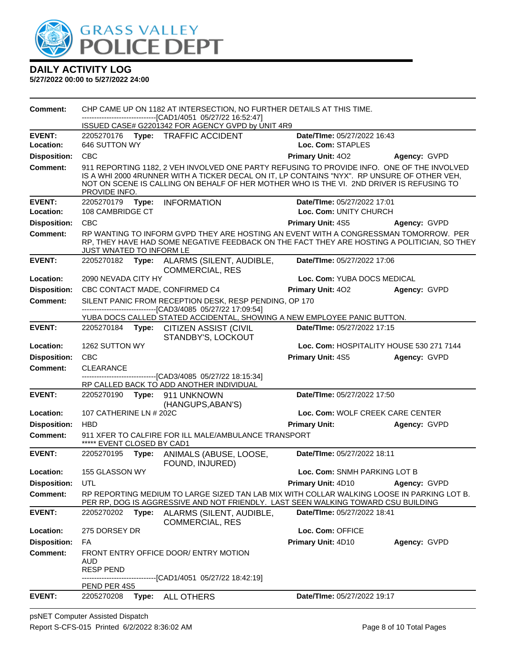

| <b>Comment:</b>     |                                 | CHP CAME UP ON 1182 AT INTERSECTION, NO FURTHER DETAILS AT THIS TIME.                                                                                                                                                                                                                 |                                          |              |
|---------------------|---------------------------------|---------------------------------------------------------------------------------------------------------------------------------------------------------------------------------------------------------------------------------------------------------------------------------------|------------------------------------------|--------------|
|                     |                                 | -------------------------------[CAD1/4051 05/27/22 16:52:47]<br>ISSUED CASE# G2201342 FOR AGENCY GVPD by UNIT 4R9                                                                                                                                                                     |                                          |              |
| <b>EVENT:</b>       |                                 | 2205270176 Type: TRAFFIC ACCIDENT                                                                                                                                                                                                                                                     | Date/TIme: 05/27/2022 16:43              |              |
| Location:           | 646 SUTTON WY                   |                                                                                                                                                                                                                                                                                       | Loc. Com: STAPLES                        |              |
| <b>Disposition:</b> | <b>CBC</b>                      |                                                                                                                                                                                                                                                                                       | <b>Primary Unit: 402</b>                 | Agency: GVPD |
| <b>Comment:</b>     | PROVIDE INFO.                   | 911 REPORTING 1182, 2 VEH INVOLVED ONE PARTY REFUSING TO PROVIDE INFO. ONE OF THE INVOLVED<br>IS A WHI 2000 4RUNNER WITH A TICKER DECAL ON IT, LP CONTAINS "NYX". RP UNSURE OF OTHER VEH,<br>NOT ON SCENE IS CALLING ON BEHALF OF HER MOTHER WHO IS THE VI. 2ND DRIVER IS REFUSING TO |                                          |              |
| <b>EVENT:</b>       | 2205270179 Type:                | <b>INFORMATION</b>                                                                                                                                                                                                                                                                    | Date/TIme: 05/27/2022 17:01              |              |
| Location:           | 108 CAMBRIDGE CT                |                                                                                                                                                                                                                                                                                       | Loc. Com: UNITY CHURCH                   |              |
| <b>Disposition:</b> | CBC                             |                                                                                                                                                                                                                                                                                       | Primary Unit: 4S5                        | Agency: GVPD |
| <b>Comment:</b>     | <b>JUST WNATED TO INFORM LE</b> | RP WANTING TO INFORM GVPD THEY ARE HOSTING AN EVENT WITH A CONGRESSMAN TOMORROW. PER<br>RP, THEY HAVE HAD SOME NEGATIVE FEEDBACK ON THE FACT THEY ARE HOSTING A POLITICIAN, SO THEY                                                                                                   |                                          |              |
| <b>EVENT:</b>       |                                 | 2205270182 Type: ALARMS (SILENT, AUDIBLE,<br><b>COMMERCIAL, RES</b>                                                                                                                                                                                                                   | Date/TIme: 05/27/2022 17:06              |              |
| Location:           | 2090 NEVADA CITY HY             |                                                                                                                                                                                                                                                                                       | Loc. Com: YUBA DOCS MEDICAL              |              |
| <b>Disposition:</b> |                                 | CBC CONTACT MADE, CONFIRMED C4                                                                                                                                                                                                                                                        | <b>Primary Unit: 402</b>                 | Agency: GVPD |
| <b>Comment:</b>     |                                 | SILENT PANIC FROM RECEPTION DESK, RESP PENDING, OP 170<br>-------------------------------[CAD3/4085 05/27/22 17:09:54]<br>YUBA DOCS CALLED STATED ACCIDENTAL, SHOWING A NEW EMPLOYEE PANIC BUTTON.                                                                                    |                                          |              |
| <b>EVENT:</b>       |                                 | 2205270184 Type: CITIZEN ASSIST (CIVIL                                                                                                                                                                                                                                                | Date/TIme: 05/27/2022 17:15              |              |
|                     |                                 | STANDBY'S, LOCKOUT                                                                                                                                                                                                                                                                    |                                          |              |
| Location:           | 1262 SUTTON WY                  |                                                                                                                                                                                                                                                                                       | Loc. Com: HOSPITALITY HOUSE 530 271 7144 |              |
| <b>Disposition:</b> | <b>CBC</b>                      |                                                                                                                                                                                                                                                                                       | Primary Unit: 4S5                        | Agency: GVPD |
| <b>Comment:</b>     | <b>CLEARANCE</b>                |                                                                                                                                                                                                                                                                                       |                                          |              |
|                     |                                 | -------------------------------[CAD3/4085 05/27/22 18:15:34]<br>RP CALLED BACK TO ADD ANOTHER INDIVIDUAL                                                                                                                                                                              |                                          |              |
| <b>EVENT:</b>       | 2205270190 Type:                | 911 UNKNOWN<br>(HANGUPS, ABAN'S)                                                                                                                                                                                                                                                      | Date/TIme: 05/27/2022 17:50              |              |
| Location:           | 107 CATHERINE LN # 202C         |                                                                                                                                                                                                                                                                                       | Loc. Com: WOLF CREEK CARE CENTER         |              |
| <b>Disposition:</b> | <b>HBD</b>                      |                                                                                                                                                                                                                                                                                       | <b>Primary Unit:</b>                     | Agency: GVPD |
| <b>Comment:</b>     | ***** EVENT CLOSED BY CAD1      | 911 XFER TO CALFIRE FOR ILL MALE/AMBULANCE TRANSPORT                                                                                                                                                                                                                                  |                                          |              |
| <b>EVENT:</b>       |                                 | 2205270195 Type: ANIMALS (ABUSE, LOOSE,<br>FOUND, INJURED)                                                                                                                                                                                                                            | Date/TIme: 05/27/2022 18:11              |              |
| Location:           | 155 GLASSON WY                  |                                                                                                                                                                                                                                                                                       | Loc. Com: SNMH PARKING LOT B             |              |
| <b>Disposition:</b> | <b>UTL</b>                      |                                                                                                                                                                                                                                                                                       | <b>Primary Unit: 4D10</b>                | Agency: GVPD |
| <b>Comment:</b>     |                                 | RP REPORTING MEDIUM TO LARGE SIZED TAN LAB MIX WITH COLLAR WALKING LOOSE IN PARKING LOT B.<br>PER RP, DOG IS AGGRESSIVE AND NOT FRIENDLY. LAST SEEN WALKING TOWARD CSU BUILDING                                                                                                       |                                          |              |
| <b>EVENT:</b>       | 2205270202                      | Type: ALARMS (SILENT, AUDIBLE,<br><b>COMMERCIAL, RES</b>                                                                                                                                                                                                                              | Date/TIme: 05/27/2022 18:41              |              |
| Location:           | 275 DORSEY DR                   |                                                                                                                                                                                                                                                                                       | Loc. Com: OFFICE                         |              |
| <b>Disposition:</b> | FA                              |                                                                                                                                                                                                                                                                                       | Primary Unit: 4D10                       | Agency: GVPD |
| <b>Comment:</b>     | AUD<br><b>RESP PEND</b>         | FRONT ENTRY OFFICE DOOR/ ENTRY MOTION<br>------------[CAD1/4051_05/27/22 18:42:19]                                                                                                                                                                                                    |                                          |              |
|                     | PEND PER 4S5                    |                                                                                                                                                                                                                                                                                       |                                          |              |
| <b>EVENT:</b>       | 2205270208                      | Type: ALL OTHERS                                                                                                                                                                                                                                                                      | Date/TIme: 05/27/2022 19:17              |              |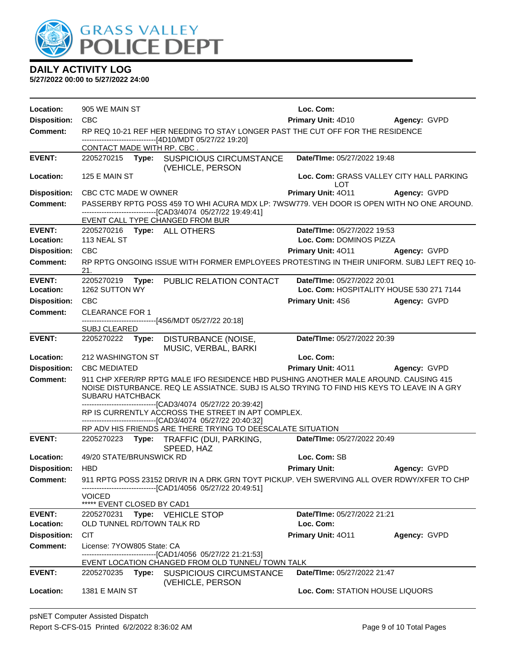

| Location:                  | 905 WE MAIN ST                                                                                                                                                                                                 | Loc. Com:                                                                                  |
|----------------------------|----------------------------------------------------------------------------------------------------------------------------------------------------------------------------------------------------------------|--------------------------------------------------------------------------------------------|
| <b>Disposition:</b>        | <b>CBC</b>                                                                                                                                                                                                     | Primary Unit: 4D10 Agency: GVPD                                                            |
| <b>Comment:</b>            | RP REQ 10-21 REF HER NEEDING TO STAY LONGER PAST THE CUT OFF FOR THE RESIDENCE                                                                                                                                 |                                                                                            |
|                            | ------------------------------[4D10/MDT 05/27/22 19:20]<br>CONTACT MADE WITH RP. CBC.                                                                                                                          |                                                                                            |
| <b>EVENT:</b>              | 2205270215 Type: SUSPICIOUS CIRCUMSTANCE                                                                                                                                                                       | Date/TIme: 05/27/2022 19:48                                                                |
|                            | (VEHICLE, PERSON                                                                                                                                                                                               |                                                                                            |
| Location:                  | 125 E MAIN ST                                                                                                                                                                                                  | Loc. Com: GRASS VALLEY CITY HALL PARKING                                                   |
| <b>Disposition:</b>        | CBC CTC MADE W OWNER                                                                                                                                                                                           | LOT<br>Primary Unit: 4011<br>Agency: GVPD                                                  |
| <b>Comment:</b>            |                                                                                                                                                                                                                | PASSERBY RPTG POSS 459 TO WHI ACURA MDX LP: 7WSW779. VEH DOOR IS OPEN WITH NO ONE AROUND.  |
|                            | -----------------------[CAD3/4074_05/27/22 19:49:41]                                                                                                                                                           |                                                                                            |
|                            | EVENT CALL TYPE CHANGED FROM BUR                                                                                                                                                                               |                                                                                            |
| <b>EVENT:</b><br>Location: | 2205270216 Type: ALL OTHERS<br>113 NEAL ST                                                                                                                                                                     | Date/TIme: 05/27/2022 19:53<br>Loc. Com: DOMINOS PIZZA                                     |
| <b>Disposition:</b>        | <b>CBC</b>                                                                                                                                                                                                     | <b>Primary Unit: 4011</b><br>Agency: GVPD                                                  |
| Comment:                   |                                                                                                                                                                                                                | RP RPTG ONGOING ISSUE WITH FORMER EMPLOYEES PROTESTING IN THEIR UNIFORM. SUBJ LEFT REQ 10- |
|                            | 21.                                                                                                                                                                                                            |                                                                                            |
| <b>EVENT:</b>              | 2205270219 Type:<br>PUBLIC RELATION CONTACT                                                                                                                                                                    | Date/TIme: 05/27/2022 20:01                                                                |
| Location:                  | 1262 SUTTON WY                                                                                                                                                                                                 | Loc. Com: HOSPITALITY HOUSE 530 271 7144                                                   |
| <b>Disposition:</b>        | <b>CBC</b>                                                                                                                                                                                                     | <b>Primary Unit: 4S6</b><br>Agency: GVPD                                                   |
| <b>Comment:</b>            | <b>CLEARANCE FOR 1</b><br>-------------------------[4S6/MDT 05/27/22 20:18]                                                                                                                                    |                                                                                            |
|                            | <b>SUBJ CLEARED</b>                                                                                                                                                                                            |                                                                                            |
| <b>EVENT:</b>              | 2205270222 Type:<br><b>DISTURBANCE (NOISE,</b>                                                                                                                                                                 | Date/TIme: 05/27/2022 20:39                                                                |
|                            | MUSIC, VERBAL, BARKI                                                                                                                                                                                           |                                                                                            |
| Location:                  | 212 WASHINGTON ST                                                                                                                                                                                              | Loc. Com:                                                                                  |
| <b>Disposition:</b>        | <b>CBC MEDIATED</b>                                                                                                                                                                                            | Primary Unit: 4011 Agency: GVPD                                                            |
| <b>Comment:</b>            | 911 CHP XFER/RP RPTG MALE IFO RESIDENCE HBD PUSHING ANOTHER MALE AROUND. CAUSING 415<br>NOISE DISTURBANCE. REQ LE ASSIATNCE. SUBJ IS ALSO TRYING TO FIND HIS KEYS TO LEAVE IN A GRY<br><b>SUBARU HATCHBACK</b> |                                                                                            |
|                            | -------------------------------[CAD3/4074_05/27/22_20:39:42]                                                                                                                                                   |                                                                                            |
|                            | RP IS CURRENTLY ACCROSS THE STREET IN APT COMPLEX.<br>--------------------[CAD3/4074_05/27/22 20:40:32]                                                                                                        |                                                                                            |
|                            | RP ADV HIS FRIENDS ARE THERE TRYING TO DEESCALATE SITUATION                                                                                                                                                    |                                                                                            |
| <b>EVENT:</b>              | 2205270223 Type: TRAFFIC (DUI, PARKING,<br>SPEED, HAZ                                                                                                                                                          | Date/TIme: 05/27/2022 20:49                                                                |
| Location:                  | 49/20 STATE/BRUNSWICK RD                                                                                                                                                                                       | Loc. Com: SB                                                                               |
| <b>Disposition:</b>        | <b>HBD</b>                                                                                                                                                                                                     | <b>Primary Unit:</b><br>Agency: GVPD                                                       |
| <b>Comment:</b>            | -----------------------[CAD1/4056_05/27/22 20:49:51]                                                                                                                                                           | 911 RPTG POSS 23152 DRIVR IN A DRK GRN TOYT PICKUP. VEH SWERVING ALL OVER RDWY/XFER TO CHP |
|                            | <b>VOICED</b>                                                                                                                                                                                                  |                                                                                            |
|                            | ***** EVENT CLOSED BY CAD1                                                                                                                                                                                     |                                                                                            |
| <b>EVENT:</b><br>Location: | 2205270231 Type: VEHICLE STOP<br>OLD TUNNEL RD/TOWN TALK RD                                                                                                                                                    | Date/TIme: 05/27/2022 21:21<br>Loc. Com:                                                   |
| <b>Disposition:</b>        | <b>CIT</b>                                                                                                                                                                                                     | Primary Unit: 4011<br>Agency: GVPD                                                         |
| <b>Comment:</b>            | License: 7YOW805 State: CA                                                                                                                                                                                     |                                                                                            |
|                            | ---------------------[CAD1/4056_05/27/22 21:21:53]                                                                                                                                                             |                                                                                            |
|                            | EVENT LOCATION CHANGED FROM OLD TUNNEL/ TOWN TALK                                                                                                                                                              |                                                                                            |
| <b>EVENT:</b>              | 2205270235 Type: SUSPICIOUS CIRCUMSTANCE                                                                                                                                                                       | Date/TIme: 05/27/2022 21:47                                                                |
| Location:                  | (VEHICLE, PERSON<br>1381 E MAIN ST                                                                                                                                                                             | Loc. Com: STATION HOUSE LIQUORS                                                            |